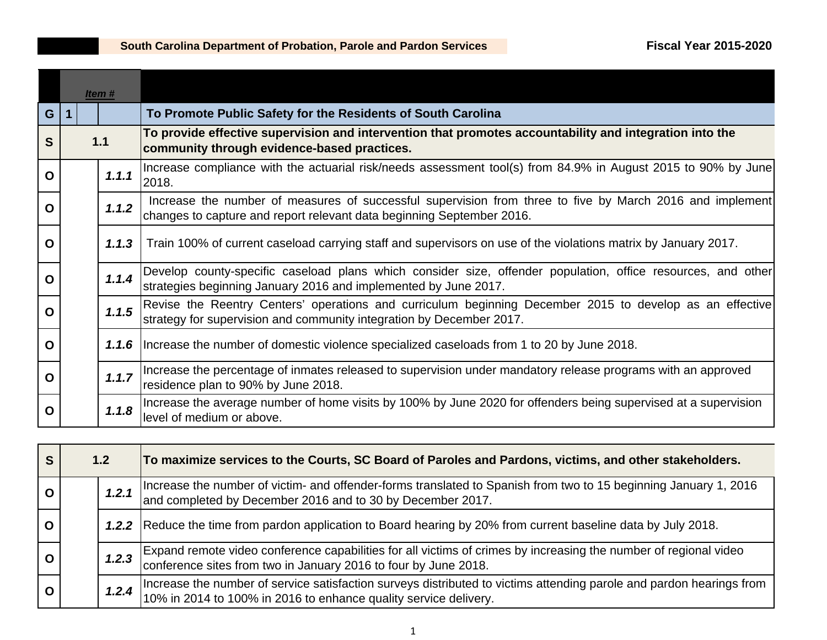|             | Item #         |  |       |                                                                                                                                                                                   |
|-------------|----------------|--|-------|-----------------------------------------------------------------------------------------------------------------------------------------------------------------------------------|
| G           | $\overline{1}$ |  |       | To Promote Public Safety for the Residents of South Carolina                                                                                                                      |
| S           | 1.1            |  |       | To provide effective supervision and intervention that promotes accountability and integration into the<br>community through evidence-based practices.                            |
| $\mathbf 0$ |                |  | 1.1.1 | Increase compliance with the actuarial risk/needs assessment tool(s) from 84.9% in August 2015 to 90% by June<br>2018.                                                            |
| O           |                |  | 1.1.2 | Increase the number of measures of successful supervision from three to five by March 2016 and implement<br>changes to capture and report relevant data beginning September 2016. |
| $\mathbf 0$ |                |  | 1.1.3 | Train 100% of current caseload carrying staff and supervisors on use of the violations matrix by January 2017.                                                                    |
| $\mathbf 0$ |                |  | 1.1.4 | Develop county-specific caseload plans which consider size, offender population, office resources, and other<br>strategies beginning January 2016 and implemented by June 2017.   |
| $\mathbf O$ |                |  | 1.1.5 | Revise the Reentry Centers' operations and curriculum beginning December 2015 to develop as an effective<br>strategy for supervision and community integration by December 2017.  |
| O           |                |  | 1.1.6 | Increase the number of domestic violence specialized caseloads from 1 to 20 by June 2018.                                                                                         |
| $\mathbf 0$ |                |  | 1.1.7 | Increase the percentage of inmates released to supervision under mandatory release programs with an approved<br>residence plan to 90% by June 2018.                               |
| O           |                |  | 1.1.8 | Increase the average number of home visits by 100% by June 2020 for offenders being supervised at a supervision<br>level of medium or above.                                      |

| <b>S</b>     | 1.2 <sub>2</sub> |       | To maximize services to the Courts, SC Board of Paroles and Pardons, victims, and other stakeholders.                                                                                    |
|--------------|------------------|-------|------------------------------------------------------------------------------------------------------------------------------------------------------------------------------------------|
| $\mathbf{o}$ |                  | 1,2.1 | Increase the number of victim- and offender-forms translated to Spanish from two to 15 beginning January 1, 2016<br>and completed by December 2016 and to 30 by December 2017.           |
| $\mathbf{o}$ |                  |       | 1.2.2 Reduce the time from pardon application to Board hearing by 20% from current baseline data by July 2018.                                                                           |
| $\mathbf 0$  |                  | 1,2,3 | Expand remote video conference capabilities for all victims of crimes by increasing the number of regional video<br>conference sites from two in January 2016 to four by June 2018.      |
| $\mathbf O$  |                  | 1,2.4 | Increase the number of service satisfaction surveys distributed to victims attending parole and pardon hearings from<br>10% in 2014 to 100% in 2016 to enhance quality service delivery. |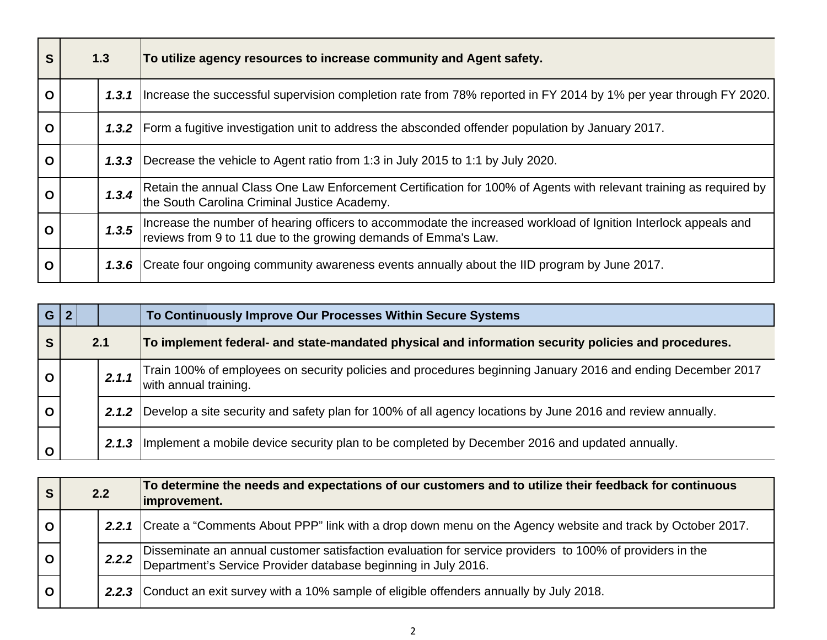| S           | 1.3   | To utilize agency resources to increase community and Agent safety.                                                                                                               |
|-------------|-------|-----------------------------------------------------------------------------------------------------------------------------------------------------------------------------------|
| $\mathbf O$ | 1,3.1 | Increase the successful supervision completion rate from 78% reported in FY 2014 by 1% per year through FY 2020.                                                                  |
| $\mathbf O$ | 1.3.2 | Form a fugitive investigation unit to address the absconded offender population by January 2017.                                                                                  |
| O           | 1,3,3 | Decrease the vehicle to Agent ratio from 1:3 in July 2015 to 1:1 by July 2020.                                                                                                    |
| O           | 1.3.4 | Retain the annual Class One Law Enforcement Certification for 100% of Agents with relevant training as required by<br>the South Carolina Criminal Justice Academy.                |
| O           | 1.3.5 | Increase the number of hearing officers to accommodate the increased workload of Ignition Interlock appeals and<br>reviews from 9 to 11 due to the growing demands of Emma's Law. |
| O           |       | 1.3.6 Create four ongoing community awareness events annually about the IID program by June 2017.                                                                                 |

| G            | 2 |     |       | To Continuously Improve Our Processes Within Secure Systems                                                                          |
|--------------|---|-----|-------|--------------------------------------------------------------------------------------------------------------------------------------|
| S            |   | 2.1 |       | To implement federal- and state-mandated physical and information security policies and procedures.                                  |
| $\mathbf{o}$ |   |     | 2.1.1 | Train 100% of employees on security policies and procedures beginning January 2016 and ending December 2017<br>with annual training. |
| $\mathbf O$  |   |     | 2.1.2 | Develop a site security and safety plan for 100% of all agency locations by June 2016 and review annually.                           |
| $\mathbf 0$  |   |     | 2.1.3 | Implement a mobile device security plan to be completed by December 2016 and updated annually.                                       |

| S            | 2.2 |  | To determine the needs and expectations of our customers and to utilize their feedback for continuous<br>improvement.                                                            |
|--------------|-----|--|----------------------------------------------------------------------------------------------------------------------------------------------------------------------------------|
| $\mathbf O$  |     |  | 2.2.1 Create a "Comments About PPP" link with a drop down menu on the Agency website and track by October 2017.                                                                  |
| $\mathbf{o}$ |     |  | 2.2.2 Disseminate an annual customer satisfaction evaluation for service providers to 100% of providers in the<br>Department's Service Provider database beginning in July 2016. |
| $\mathbf O$  |     |  | 2.2.3 Conduct an exit survey with a 10% sample of eligible offenders annually by July 2018.                                                                                      |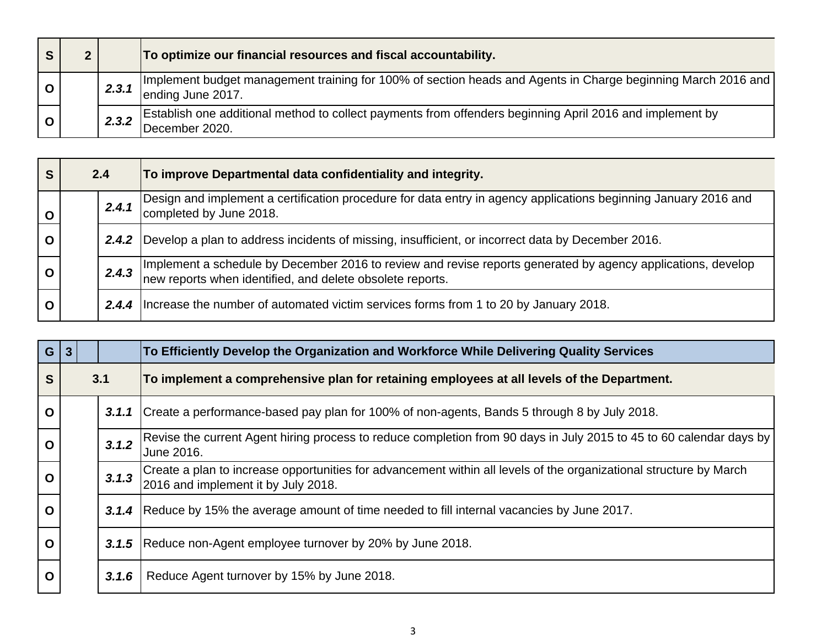|             |       | To optimize our financial resources and fiscal accountability.                                                                      |
|-------------|-------|-------------------------------------------------------------------------------------------------------------------------------------|
|             | 2.3.1 | Implement budget management training for 100% of section heads and Agents in Charge beginning March 2016 and  <br>ending June 2017. |
| $\mathbf O$ | 2.3.2 | [Establish one additional method to collect payments from offenders beginning April 2016 and implement by<br>December 2020.         |

| S            | 2.4 |       | To improve Departmental data confidentiality and integrity.                                                                                                                                   |
|--------------|-----|-------|-----------------------------------------------------------------------------------------------------------------------------------------------------------------------------------------------|
| $\mathbf{o}$ |     | 2.4.1 | Design and implement a certification procedure for data entry in agency applications beginning January 2016 and<br>completed by June 2018.                                                    |
| $\mathbf O$  |     |       | 2.4.2   Develop a plan to address incidents of missing, insufficient, or incorrect data by December 2016.                                                                                     |
| $\mathbf{o}$ |     |       | 2.4.3 Implement a schedule by December 2016 to review and revise reports generated by agency applications, develop and the vertex of the vertex when identified, and delete obsolete reports. |
| $\mathbf O$  |     |       | 2.4.4 Increase the number of automated victim services forms from 1 to 20 by January 2018.                                                                                                    |

| G           | $\overline{3}$ |       | To Efficiently Develop the Organization and Workforce While Delivering Quality Services                                                                   |
|-------------|----------------|-------|-----------------------------------------------------------------------------------------------------------------------------------------------------------|
| S           |                | 3.1   | To implement a comprehensive plan for retaining employees at all levels of the Department.                                                                |
| $\mathbf O$ |                | 3.1.1 | Create a performance-based pay plan for 100% of non-agents, Bands 5 through 8 by July 2018.                                                               |
| $\mathbf O$ |                | 3.1.2 | Revise the current Agent hiring process to reduce completion from 90 days in July 2015 to 45 to 60 calendar days by<br>June 2016.                         |
| $\mathbf O$ |                | 3.1.3 | Create a plan to increase opportunities for advancement within all levels of the organizational structure by March<br>2016 and implement it by July 2018. |
| $\mathbf O$ |                | 3.1.4 | Reduce by 15% the average amount of time needed to fill internal vacancies by June 2017.                                                                  |
| $\mathbf O$ |                |       | 3.1.5 Reduce non-Agent employee turnover by 20% by June 2018.                                                                                             |
| O           |                | 3.1.6 | Reduce Agent turnover by 15% by June 2018.                                                                                                                |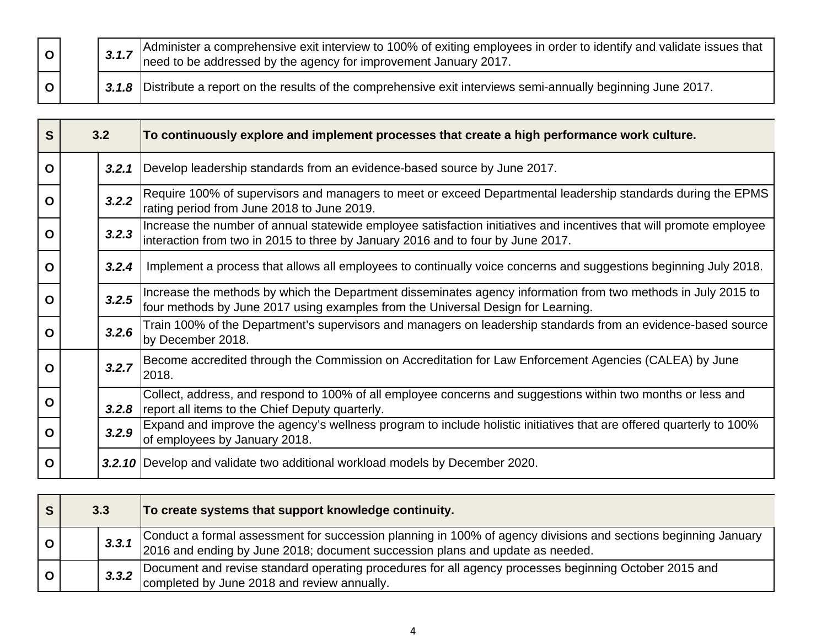|              |  | 3.1.7 Administer a comprehensive exit interview to 100% of exiting employees in order to identify and validate issues that 3.1.7 need to be addressed by the agency for improvement January 2017. |
|--------------|--|---------------------------------------------------------------------------------------------------------------------------------------------------------------------------------------------------|
| $\mathbf{o}$ |  | 3.1.8 Distribute a report on the results of the comprehensive exit interviews semi-annually beginning June 2017.                                                                                  |

| S           | 3.2   | To continuously explore and implement processes that create a high performance work culture.                                                                                                           |
|-------------|-------|--------------------------------------------------------------------------------------------------------------------------------------------------------------------------------------------------------|
| O           | 3.2.1 | Develop leadership standards from an evidence-based source by June 2017.                                                                                                                               |
| $\mathbf O$ | 3.2.2 | Require 100% of supervisors and managers to meet or exceed Departmental leadership standards during the EPMS<br>rating period from June 2018 to June 2019.                                             |
| $\mathbf 0$ | 3.2.3 | Increase the number of annual statewide employee satisfaction initiatives and incentives that will promote employee<br>interaction from two in 2015 to three by January 2016 and to four by June 2017. |
| $\mathbf O$ | 3.2.4 | Implement a process that allows all employees to continually voice concerns and suggestions beginning July 2018.                                                                                       |
| O           | 3.2.5 | Increase the methods by which the Department disseminates agency information from two methods in July 2015 to<br>four methods by June 2017 using examples from the Universal Design for Learning.      |
| $\mathbf O$ | 3.2.6 | Train 100% of the Department's supervisors and managers on leadership standards from an evidence-based source<br>by December 2018.                                                                     |
| O           | 3.2.7 | Become accredited through the Commission on Accreditation for Law Enforcement Agencies (CALEA) by June<br>2018.                                                                                        |
| $\mathbf O$ | 3.2.8 | Collect, address, and respond to 100% of all employee concerns and suggestions within two months or less and<br>report all items to the Chief Deputy quarterly.                                        |
| $\mathbf O$ | 3.2.9 | Expand and improve the agency's wellness program to include holistic initiatives that are offered quarterly to 100%<br>of employees by January 2018.                                                   |
| O           |       | 3.2.10 Develop and validate two additional workload models by December 2020.                                                                                                                           |

| 3.3   | To create systems that support knowledge continuity.                                                                                                                                            |
|-------|-------------------------------------------------------------------------------------------------------------------------------------------------------------------------------------------------|
| 3.3.1 | Conduct a formal assessment for succession planning in 100% of agency divisions and sections beginning January<br>2016 and ending by June 2018; document succession plans and update as needed. |
| 3,3,2 | Document and revise standard operating procedures for all agency processes beginning October 2015 and<br>completed by June 2018 and review annually.                                            |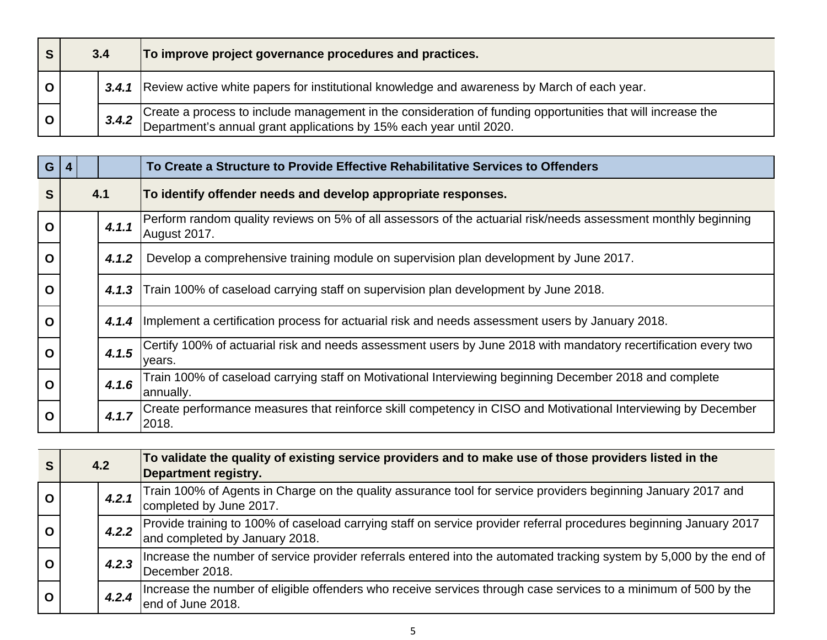| 3.4   | To improve project governance procedures and practices.                                                                                                                         |
|-------|---------------------------------------------------------------------------------------------------------------------------------------------------------------------------------|
| 3,4.1 | Review active white papers for institutional knowledge and awareness by March of each year.                                                                                     |
| 3.4.2 | Create a process to include management in the consideration of funding opportunities that will increase the Department's annual grant applications by 15% each year until 2020. |

| G |       | To Create a Structure to Provide Effective Rehabilitative Services to Offenders                                                |
|---|-------|--------------------------------------------------------------------------------------------------------------------------------|
| S | 4.1   | To identify offender needs and develop appropriate responses.                                                                  |
| O | 4.1.1 | Perform random quality reviews on 5% of all assessors of the actuarial risk/needs assessment monthly beginning<br>August 2017. |
| O | 4.1.2 | Develop a comprehensive training module on supervision plan development by June 2017.                                          |
| O | 4.1.3 | Train 100% of caseload carrying staff on supervision plan development by June 2018.                                            |
| O | 4.1.4 | Implement a certification process for actuarial risk and needs assessment users by January 2018.                               |
| O | 4.1.5 | Certify 100% of actuarial risk and needs assessment users by June 2018 with mandatory recertification every two<br>vears.      |
| O | 4.1.6 | Train 100% of caseload carrying staff on Motivational Interviewing beginning December 2018 and complete<br>annually.           |
| O | 4.1.7 | Create performance measures that reinforce skill competency in CISO and Motivational Interviewing by December<br>2018.         |

|              | 4.2 |       | To validate the quality of existing service providers and to make use of those providers listed in the<br>Department registry.                       |
|--------------|-----|-------|------------------------------------------------------------------------------------------------------------------------------------------------------|
| $\mathbf O$  |     | 4.2.1 | Train 100% of Agents in Charge on the quality assurance tool for service providers beginning January 2017 and<br>completed by June 2017.             |
| $\mathbf 0$  |     | 4.2.2 | Provide training to 100% of caseload carrying staff on service provider referral procedures beginning January 2017<br>and completed by January 2018. |
| $\mathbf O$  |     | 4.2.3 | Increase the number of service provider referrals entered into the automated tracking system by 5,000 by the end of<br>December 2018.                |
| $\mathbf{o}$ |     | 4.2.4 | Increase the number of eligible offenders who receive services through case services to a minimum of 500 by the<br>end of June 2018.                 |